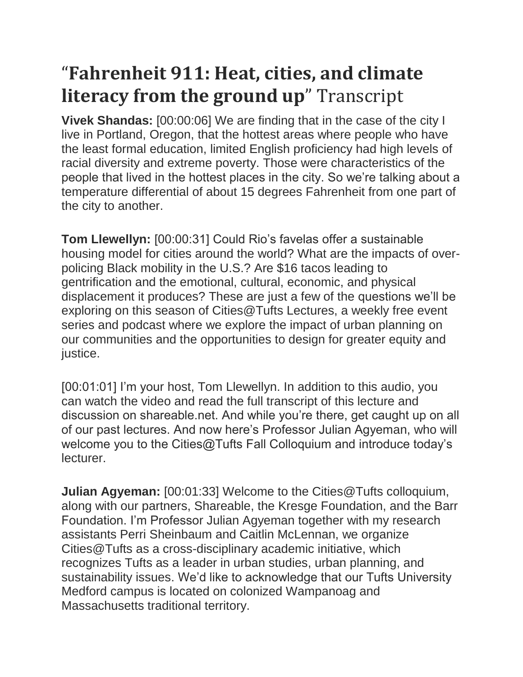## "**Fahrenheit 911: Heat, cities, and climate literacy from the ground up**" Transcript

**Vivek Shandas:** [00:00:06] We are finding that in the case of the city I live in Portland, Oregon, that the hottest areas where people who have the least formal education, limited English proficiency had high levels of racial diversity and extreme poverty. Those were characteristics of the people that lived in the hottest places in the city. So we're talking about a temperature differential of about 15 degrees Fahrenheit from one part of the city to another.

**Tom Llewellyn:** [00:00:31] Could Rio's favelas offer a sustainable housing model for cities around the world? What are the impacts of overpolicing Black mobility in the U.S.? Are \$16 tacos leading to gentrification and the emotional, cultural, economic, and physical displacement it produces? These are just a few of the questions we'll be exploring on this season of Cities@Tufts Lectures, a weekly free event series and podcast where we explore the impact of urban planning on our communities and the opportunities to design for greater equity and justice.

[00:01:01] I'm your host, Tom Llewellyn. In addition to this audio, you can watch the video and read the full transcript of this lecture and discussion on shareable.net. And while you're there, get caught up on all of our past lectures. And now here's Professor Julian Agyeman, who will welcome you to the Cities@Tufts Fall Colloquium and introduce today's lecturer.

**Julian Agyeman:** [00:01:33] Welcome to the Cities@Tufts colloquium, along with our partners, Shareable, the Kresge Foundation, and the Barr Foundation. I'm Professor Julian Agyeman together with my research assistants Perri Sheinbaum and Caitlin McLennan, we organize Cities@Tufts as a cross-disciplinary academic initiative, which recognizes Tufts as a leader in urban studies, urban planning, and sustainability issues. We'd like to acknowledge that our Tufts University Medford campus is located on colonized Wampanoag and Massachusetts traditional territory.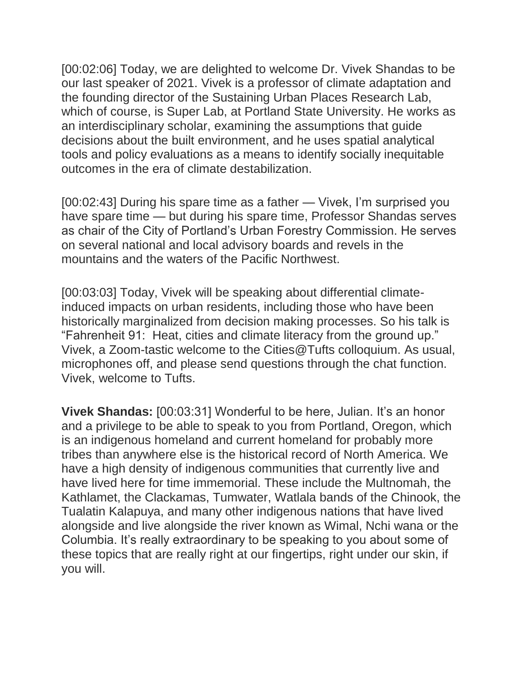[00:02:06] Today, we are delighted to welcome Dr. Vivek Shandas to be our last speaker of 2021. Vivek is a professor of climate adaptation and the founding director of the Sustaining Urban Places Research Lab, which of course, is Super Lab, at Portland State University. He works as an interdisciplinary scholar, examining the assumptions that guide decisions about the built environment, and he uses spatial analytical tools and policy evaluations as a means to identify socially inequitable outcomes in the era of climate destabilization.

[00:02:43] During his spare time as a father — Vivek, I'm surprised you have spare time — but during his spare time, Professor Shandas serves as chair of the City of Portland's Urban Forestry Commission. He serves on several national and local advisory boards and revels in the mountains and the waters of the Pacific Northwest.

[00:03:03] Today, Vivek will be speaking about differential climateinduced impacts on urban residents, including those who have been historically marginalized from decision making processes. So his talk is "Fahrenheit 91: Heat, cities and climate literacy from the ground up." Vivek, a Zoom-tastic welcome to the Cities@Tufts colloquium. As usual, microphones off, and please send questions through the chat function. Vivek, welcome to Tufts.

**Vivek Shandas:** [00:03:31] Wonderful to be here, Julian. It's an honor and a privilege to be able to speak to you from Portland, Oregon, which is an indigenous homeland and current homeland for probably more tribes than anywhere else is the historical record of North America. We have a high density of indigenous communities that currently live and have lived here for time immemorial. These include the Multnomah, the Kathlamet, the Clackamas, Tumwater, Watlala bands of the Chinook, the Tualatin Kalapuya, and many other indigenous nations that have lived alongside and live alongside the river known as Wimal, Nchi wana or the Columbia. It's really extraordinary to be speaking to you about some of these topics that are really right at our fingertips, right under our skin, if you will.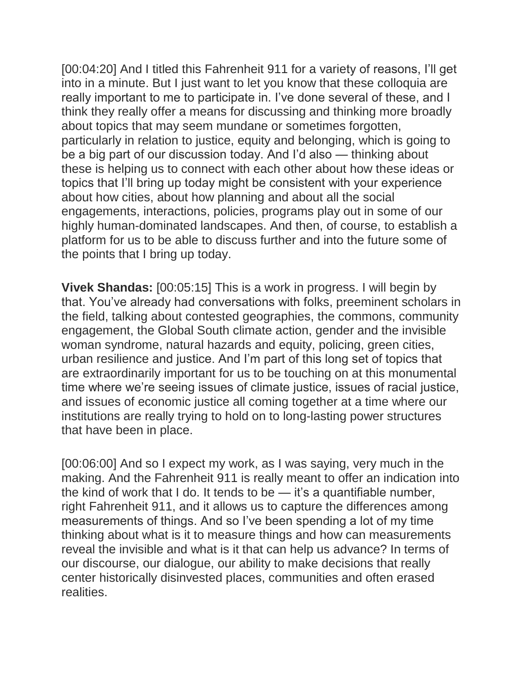[00:04:20] And I titled this Fahrenheit 911 for a variety of reasons, I'll get into in a minute. But I just want to let you know that these colloquia are really important to me to participate in. I've done several of these, and I think they really offer a means for discussing and thinking more broadly about topics that may seem mundane or sometimes forgotten, particularly in relation to justice, equity and belonging, which is going to be a big part of our discussion today. And I'd also — thinking about these is helping us to connect with each other about how these ideas or topics that I'll bring up today might be consistent with your experience about how cities, about how planning and about all the social engagements, interactions, policies, programs play out in some of our highly human-dominated landscapes. And then, of course, to establish a platform for us to be able to discuss further and into the future some of the points that I bring up today.

**Vivek Shandas:** [00:05:15] This is a work in progress. I will begin by that. You've already had conversations with folks, preeminent scholars in the field, talking about contested geographies, the commons, community engagement, the Global South climate action, gender and the invisible woman syndrome, natural hazards and equity, policing, green cities, urban resilience and justice. And I'm part of this long set of topics that are extraordinarily important for us to be touching on at this monumental time where we're seeing issues of climate justice, issues of racial justice, and issues of economic justice all coming together at a time where our institutions are really trying to hold on to long-lasting power structures that have been in place.

[00:06:00] And so I expect my work, as I was saying, very much in the making. And the Fahrenheit 911 is really meant to offer an indication into the kind of work that I do. It tends to be — it's a quantifiable number, right Fahrenheit 911, and it allows us to capture the differences among measurements of things. And so I've been spending a lot of my time thinking about what is it to measure things and how can measurements reveal the invisible and what is it that can help us advance? In terms of our discourse, our dialogue, our ability to make decisions that really center historically disinvested places, communities and often erased realities.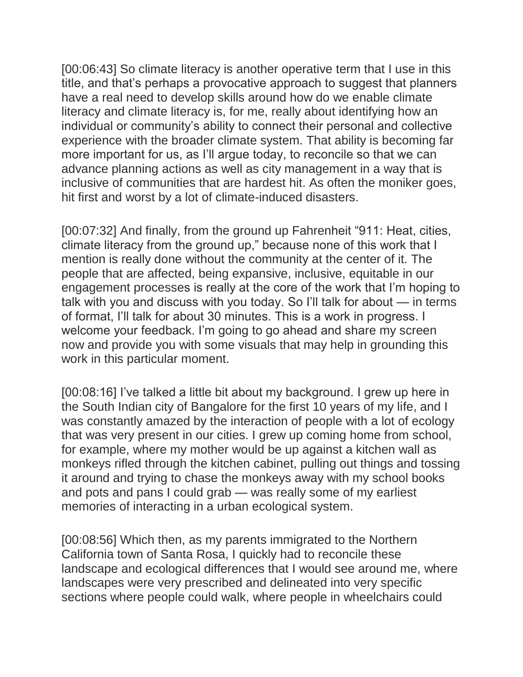[00:06:43] So climate literacy is another operative term that I use in this title, and that's perhaps a provocative approach to suggest that planners have a real need to develop skills around how do we enable climate literacy and climate literacy is, for me, really about identifying how an individual or community's ability to connect their personal and collective experience with the broader climate system. That ability is becoming far more important for us, as I'll argue today, to reconcile so that we can advance planning actions as well as city management in a way that is inclusive of communities that are hardest hit. As often the moniker goes, hit first and worst by a lot of climate-induced disasters.

[00:07:32] And finally, from the ground up Fahrenheit "911: Heat, cities, climate literacy from the ground up," because none of this work that I mention is really done without the community at the center of it. The people that are affected, being expansive, inclusive, equitable in our engagement processes is really at the core of the work that I'm hoping to talk with you and discuss with you today. So I'll talk for about — in terms of format, I'll talk for about 30 minutes. This is a work in progress. I welcome your feedback. I'm going to go ahead and share my screen now and provide you with some visuals that may help in grounding this work in this particular moment.

[00:08:16] I've talked a little bit about my background. I grew up here in the South Indian city of Bangalore for the first 10 years of my life, and I was constantly amazed by the interaction of people with a lot of ecology that was very present in our cities. I grew up coming home from school, for example, where my mother would be up against a kitchen wall as monkeys rifled through the kitchen cabinet, pulling out things and tossing it around and trying to chase the monkeys away with my school books and pots and pans I could grab — was really some of my earliest memories of interacting in a urban ecological system.

[00:08:56] Which then, as my parents immigrated to the Northern California town of Santa Rosa, I quickly had to reconcile these landscape and ecological differences that I would see around me, where landscapes were very prescribed and delineated into very specific sections where people could walk, where people in wheelchairs could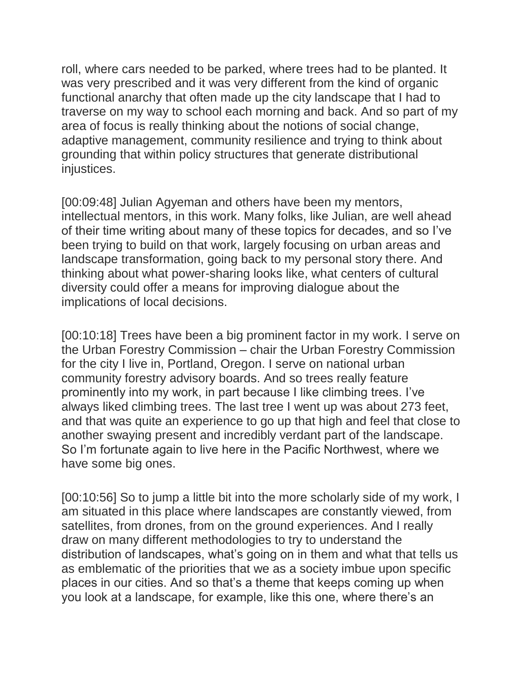roll, where cars needed to be parked, where trees had to be planted. It was very prescribed and it was very different from the kind of organic functional anarchy that often made up the city landscape that I had to traverse on my way to school each morning and back. And so part of my area of focus is really thinking about the notions of social change, adaptive management, community resilience and trying to think about grounding that within policy structures that generate distributional injustices.

[00:09:48] Julian Agyeman and others have been my mentors, intellectual mentors, in this work. Many folks, like Julian, are well ahead of their time writing about many of these topics for decades, and so I've been trying to build on that work, largely focusing on urban areas and landscape transformation, going back to my personal story there. And thinking about what power-sharing looks like, what centers of cultural diversity could offer a means for improving dialogue about the implications of local decisions.

[00:10:18] Trees have been a big prominent factor in my work. I serve on the Urban Forestry Commission – chair the Urban Forestry Commission for the city I live in, Portland, Oregon. I serve on national urban community forestry advisory boards. And so trees really feature prominently into my work, in part because I like climbing trees. I've always liked climbing trees. The last tree I went up was about 273 feet, and that was quite an experience to go up that high and feel that close to another swaying present and incredibly verdant part of the landscape. So I'm fortunate again to live here in the Pacific Northwest, where we have some big ones.

[00:10:56] So to jump a little bit into the more scholarly side of my work, I am situated in this place where landscapes are constantly viewed, from satellites, from drones, from on the ground experiences. And I really draw on many different methodologies to try to understand the distribution of landscapes, what's going on in them and what that tells us as emblematic of the priorities that we as a society imbue upon specific places in our cities. And so that's a theme that keeps coming up when you look at a landscape, for example, like this one, where there's an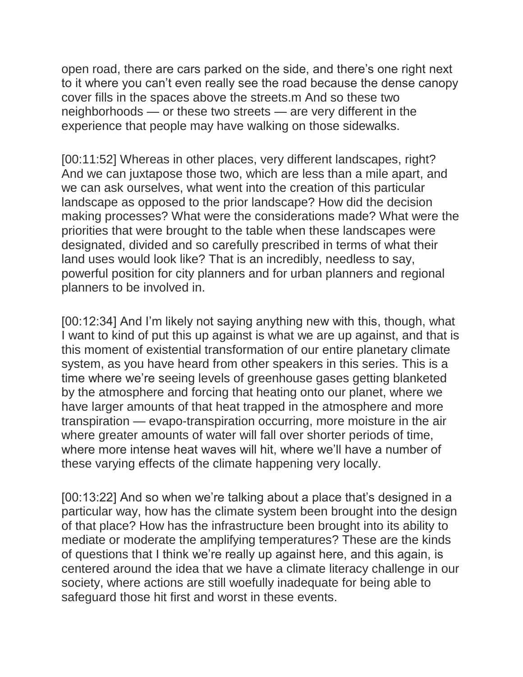open road, there are cars parked on the side, and there's one right next to it where you can't even really see the road because the dense canopy cover fills in the spaces above the streets.m And so these two neighborhoods — or these two streets — are very different in the experience that people may have walking on those sidewalks.

[00:11:52] Whereas in other places, very different landscapes, right? And we can juxtapose those two, which are less than a mile apart, and we can ask ourselves, what went into the creation of this particular landscape as opposed to the prior landscape? How did the decision making processes? What were the considerations made? What were the priorities that were brought to the table when these landscapes were designated, divided and so carefully prescribed in terms of what their land uses would look like? That is an incredibly, needless to say, powerful position for city planners and for urban planners and regional planners to be involved in.

[00:12:34] And I'm likely not saying anything new with this, though, what I want to kind of put this up against is what we are up against, and that is this moment of existential transformation of our entire planetary climate system, as you have heard from other speakers in this series. This is a time where we're seeing levels of greenhouse gases getting blanketed by the atmosphere and forcing that heating onto our planet, where we have larger amounts of that heat trapped in the atmosphere and more transpiration — evapo-transpiration occurring, more moisture in the air where greater amounts of water will fall over shorter periods of time, where more intense heat waves will hit, where we'll have a number of these varying effects of the climate happening very locally.

[00:13:22] And so when we're talking about a place that's designed in a particular way, how has the climate system been brought into the design of that place? How has the infrastructure been brought into its ability to mediate or moderate the amplifying temperatures? These are the kinds of questions that I think we're really up against here, and this again, is centered around the idea that we have a climate literacy challenge in our society, where actions are still woefully inadequate for being able to safeguard those hit first and worst in these events.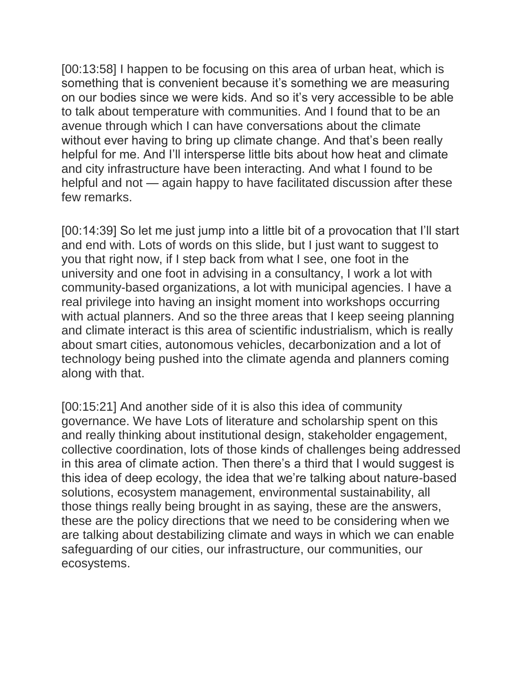[00:13:58] I happen to be focusing on this area of urban heat, which is something that is convenient because it's something we are measuring on our bodies since we were kids. And so it's very accessible to be able to talk about temperature with communities. And I found that to be an avenue through which I can have conversations about the climate without ever having to bring up climate change. And that's been really helpful for me. And I'll intersperse little bits about how heat and climate and city infrastructure have been interacting. And what I found to be helpful and not — again happy to have facilitated discussion after these few remarks.

[00:14:39] So let me just jump into a little bit of a provocation that I'll start and end with. Lots of words on this slide, but I just want to suggest to you that right now, if I step back from what I see, one foot in the university and one foot in advising in a consultancy, I work a lot with community-based organizations, a lot with municipal agencies. I have a real privilege into having an insight moment into workshops occurring with actual planners. And so the three areas that I keep seeing planning and climate interact is this area of scientific industrialism, which is really about smart cities, autonomous vehicles, decarbonization and a lot of technology being pushed into the climate agenda and planners coming along with that.

[00:15:21] And another side of it is also this idea of community governance. We have Lots of literature and scholarship spent on this and really thinking about institutional design, stakeholder engagement, collective coordination, lots of those kinds of challenges being addressed in this area of climate action. Then there's a third that I would suggest is this idea of deep ecology, the idea that we're talking about nature-based solutions, ecosystem management, environmental sustainability, all those things really being brought in as saying, these are the answers, these are the policy directions that we need to be considering when we are talking about destabilizing climate and ways in which we can enable safeguarding of our cities, our infrastructure, our communities, our ecosystems.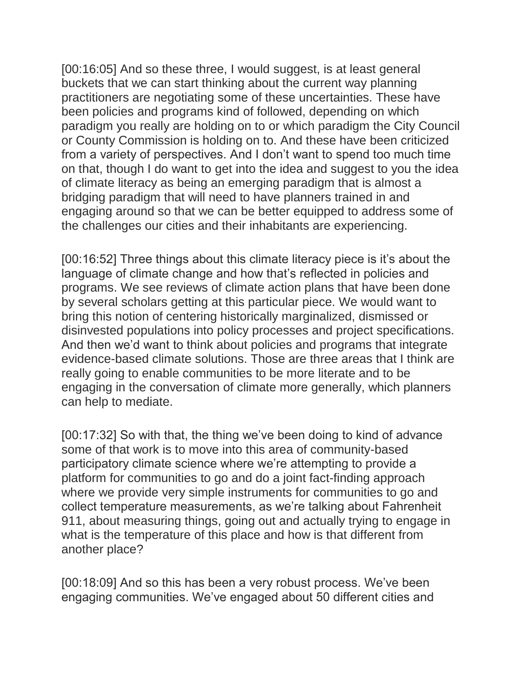[00:16:05] And so these three, I would suggest, is at least general buckets that we can start thinking about the current way planning practitioners are negotiating some of these uncertainties. These have been policies and programs kind of followed, depending on which paradigm you really are holding on to or which paradigm the City Council or County Commission is holding on to. And these have been criticized from a variety of perspectives. And I don't want to spend too much time on that, though I do want to get into the idea and suggest to you the idea of climate literacy as being an emerging paradigm that is almost a bridging paradigm that will need to have planners trained in and engaging around so that we can be better equipped to address some of the challenges our cities and their inhabitants are experiencing.

[00:16:52] Three things about this climate literacy piece is it's about the language of climate change and how that's reflected in policies and programs. We see reviews of climate action plans that have been done by several scholars getting at this particular piece. We would want to bring this notion of centering historically marginalized, dismissed or disinvested populations into policy processes and project specifications. And then we'd want to think about policies and programs that integrate evidence-based climate solutions. Those are three areas that I think are really going to enable communities to be more literate and to be engaging in the conversation of climate more generally, which planners can help to mediate.

[00:17:32] So with that, the thing we've been doing to kind of advance some of that work is to move into this area of community-based participatory climate science where we're attempting to provide a platform for communities to go and do a joint fact-finding approach where we provide very simple instruments for communities to go and collect temperature measurements, as we're talking about Fahrenheit 911, about measuring things, going out and actually trying to engage in what is the temperature of this place and how is that different from another place?

[00:18:09] And so this has been a very robust process. We've been engaging communities. We've engaged about 50 different cities and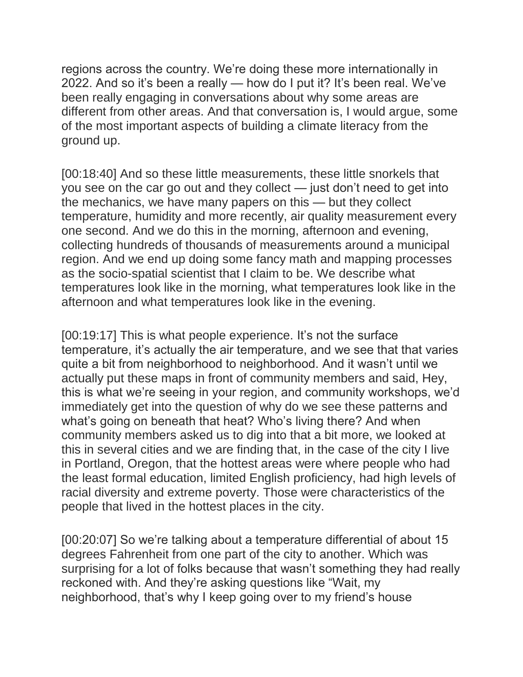regions across the country. We're doing these more internationally in 2022. And so it's been a really — how do I put it? It's been real. We've been really engaging in conversations about why some areas are different from other areas. And that conversation is, I would argue, some of the most important aspects of building a climate literacy from the ground up.

[00:18:40] And so these little measurements, these little snorkels that you see on the car go out and they collect — just don't need to get into the mechanics, we have many papers on this — but they collect temperature, humidity and more recently, air quality measurement every one second. And we do this in the morning, afternoon and evening, collecting hundreds of thousands of measurements around a municipal region. And we end up doing some fancy math and mapping processes as the socio-spatial scientist that I claim to be. We describe what temperatures look like in the morning, what temperatures look like in the afternoon and what temperatures look like in the evening.

[00:19:17] This is what people experience. It's not the surface temperature, it's actually the air temperature, and we see that that varies quite a bit from neighborhood to neighborhood. And it wasn't until we actually put these maps in front of community members and said, Hey, this is what we're seeing in your region, and community workshops, we'd immediately get into the question of why do we see these patterns and what's going on beneath that heat? Who's living there? And when community members asked us to dig into that a bit more, we looked at this in several cities and we are finding that, in the case of the city I live in Portland, Oregon, that the hottest areas were where people who had the least formal education, limited English proficiency, had high levels of racial diversity and extreme poverty. Those were characteristics of the people that lived in the hottest places in the city.

[00:20:07] So we're talking about a temperature differential of about 15 degrees Fahrenheit from one part of the city to another. Which was surprising for a lot of folks because that wasn't something they had really reckoned with. And they're asking questions like "Wait, my neighborhood, that's why I keep going over to my friend's house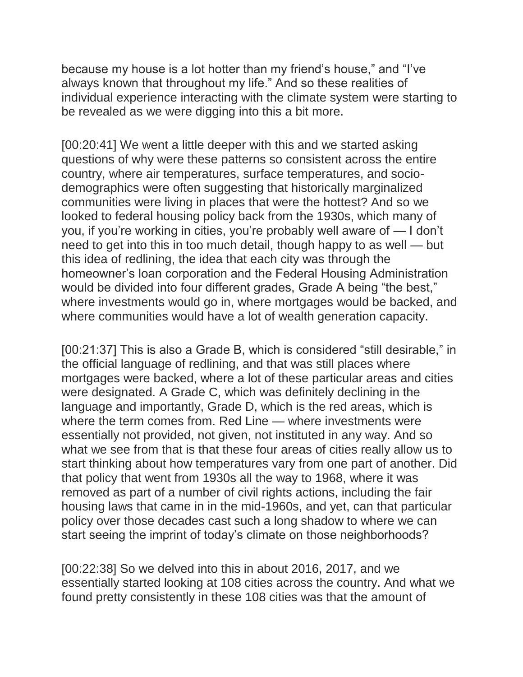because my house is a lot hotter than my friend's house," and "I've always known that throughout my life." And so these realities of individual experience interacting with the climate system were starting to be revealed as we were digging into this a bit more.

[00:20:41] We went a little deeper with this and we started asking questions of why were these patterns so consistent across the entire country, where air temperatures, surface temperatures, and sociodemographics were often suggesting that historically marginalized communities were living in places that were the hottest? And so we looked to federal housing policy back from the 1930s, which many of you, if you're working in cities, you're probably well aware of — I don't need to get into this in too much detail, though happy to as well — but this idea of redlining, the idea that each city was through the homeowner's loan corporation and the Federal Housing Administration would be divided into four different grades, Grade A being "the best," where investments would go in, where mortgages would be backed, and where communities would have a lot of wealth generation capacity.

[00:21:37] This is also a Grade B, which is considered "still desirable," in the official language of redlining, and that was still places where mortgages were backed, where a lot of these particular areas and cities were designated. A Grade C, which was definitely declining in the language and importantly, Grade D, which is the red areas, which is where the term comes from. Red Line — where investments were essentially not provided, not given, not instituted in any way. And so what we see from that is that these four areas of cities really allow us to start thinking about how temperatures vary from one part of another. Did that policy that went from 1930s all the way to 1968, where it was removed as part of a number of civil rights actions, including the fair housing laws that came in in the mid-1960s, and yet, can that particular policy over those decades cast such a long shadow to where we can start seeing the imprint of today's climate on those neighborhoods?

[00:22:38] So we delved into this in about 2016, 2017, and we essentially started looking at 108 cities across the country. And what we found pretty consistently in these 108 cities was that the amount of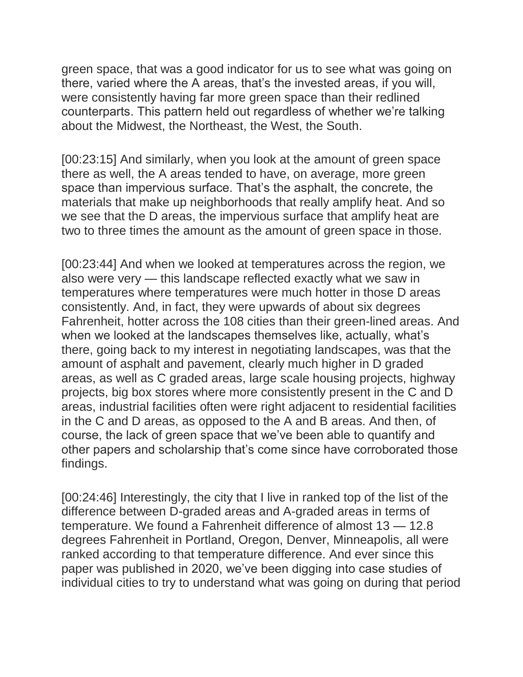green space, that was a good indicator for us to see what was going on there, varied where the A areas, that's the invested areas, if you will, were consistently having far more green space than their redlined counterparts. This pattern held out regardless of whether we're talking about the Midwest, the Northeast, the West, the South.

[00:23:15] And similarly, when you look at the amount of green space there as well, the A areas tended to have, on average, more green space than impervious surface. That's the asphalt, the concrete, the materials that make up neighborhoods that really amplify heat. And so we see that the D areas, the impervious surface that amplify heat are two to three times the amount as the amount of green space in those.

[00:23:44] And when we looked at temperatures across the region, we also were very — this landscape reflected exactly what we saw in temperatures where temperatures were much hotter in those D areas consistently. And, in fact, they were upwards of about six degrees Fahrenheit, hotter across the 108 cities than their green-lined areas. And when we looked at the landscapes themselves like, actually, what's there, going back to my interest in negotiating landscapes, was that the amount of asphalt and pavement, clearly much higher in D graded areas, as well as C graded areas, large scale housing projects, highway projects, big box stores where more consistently present in the C and D areas, industrial facilities often were right adjacent to residential facilities in the C and D areas, as opposed to the A and B areas. And then, of course, the lack of green space that we've been able to quantify and other papers and scholarship that's come since have corroborated those findings.

[00:24:46] Interestingly, the city that I live in ranked top of the list of the difference between D-graded areas and A-graded areas in terms of temperature. We found a Fahrenheit difference of almost 13 — 12.8 degrees Fahrenheit in Portland, Oregon, Denver, Minneapolis, all were ranked according to that temperature difference. And ever since this paper was published in 2020, we've been digging into case studies of individual cities to try to understand what was going on during that period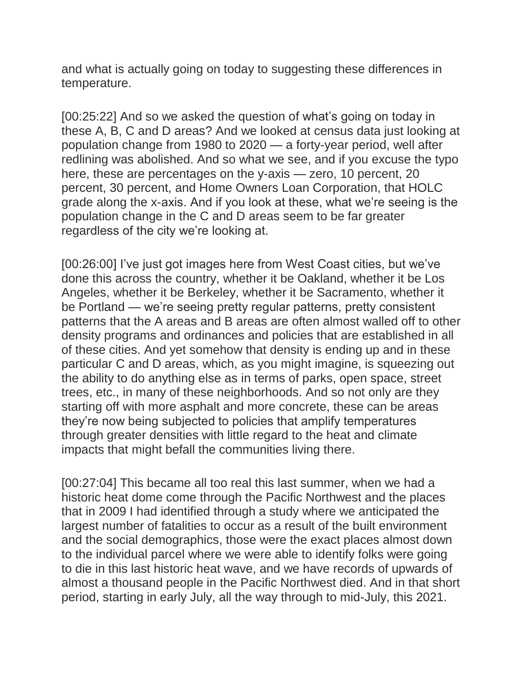and what is actually going on today to suggesting these differences in temperature.

[00:25:22] And so we asked the question of what's going on today in these A, B, C and D areas? And we looked at census data just looking at population change from 1980 to 2020 — a forty-year period, well after redlining was abolished. And so what we see, and if you excuse the typo here, these are percentages on the y-axis — zero, 10 percent, 20 percent, 30 percent, and Home Owners Loan Corporation, that HOLC grade along the x-axis. And if you look at these, what we're seeing is the population change in the C and D areas seem to be far greater regardless of the city we're looking at.

[00:26:00] I've just got images here from West Coast cities, but we've done this across the country, whether it be Oakland, whether it be Los Angeles, whether it be Berkeley, whether it be Sacramento, whether it be Portland — we're seeing pretty regular patterns, pretty consistent patterns that the A areas and B areas are often almost walled off to other density programs and ordinances and policies that are established in all of these cities. And yet somehow that density is ending up and in these particular C and D areas, which, as you might imagine, is squeezing out the ability to do anything else as in terms of parks, open space, street trees, etc., in many of these neighborhoods. And so not only are they starting off with more asphalt and more concrete, these can be areas they're now being subjected to policies that amplify temperatures through greater densities with little regard to the heat and climate impacts that might befall the communities living there.

[00:27:04] This became all too real this last summer, when we had a historic heat dome come through the Pacific Northwest and the places that in 2009 I had identified through a study where we anticipated the largest number of fatalities to occur as a result of the built environment and the social demographics, those were the exact places almost down to the individual parcel where we were able to identify folks were going to die in this last historic heat wave, and we have records of upwards of almost a thousand people in the Pacific Northwest died. And in that short period, starting in early July, all the way through to mid-July, this 2021.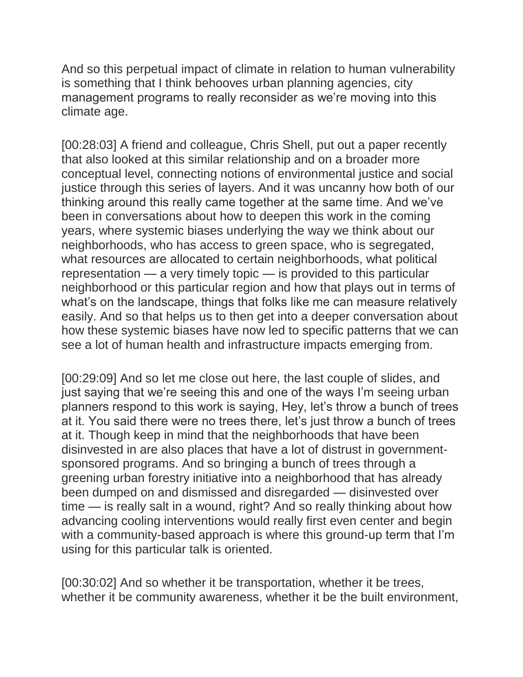And so this perpetual impact of climate in relation to human vulnerability is something that I think behooves urban planning agencies, city management programs to really reconsider as we're moving into this climate age.

[00:28:03] A friend and colleague, Chris Shell, put out a paper recently that also looked at this similar relationship and on a broader more conceptual level, connecting notions of environmental justice and social justice through this series of layers. And it was uncanny how both of our thinking around this really came together at the same time. And we've been in conversations about how to deepen this work in the coming years, where systemic biases underlying the way we think about our neighborhoods, who has access to green space, who is segregated, what resources are allocated to certain neighborhoods, what political representation — a very timely topic — is provided to this particular neighborhood or this particular region and how that plays out in terms of what's on the landscape, things that folks like me can measure relatively easily. And so that helps us to then get into a deeper conversation about how these systemic biases have now led to specific patterns that we can see a lot of human health and infrastructure impacts emerging from.

[00:29:09] And so let me close out here, the last couple of slides, and just saying that we're seeing this and one of the ways I'm seeing urban planners respond to this work is saying, Hey, let's throw a bunch of trees at it. You said there were no trees there, let's just throw a bunch of trees at it. Though keep in mind that the neighborhoods that have been disinvested in are also places that have a lot of distrust in governmentsponsored programs. And so bringing a bunch of trees through a greening urban forestry initiative into a neighborhood that has already been dumped on and dismissed and disregarded — disinvested over time — is really salt in a wound, right? And so really thinking about how advancing cooling interventions would really first even center and begin with a community-based approach is where this ground-up term that I'm using for this particular talk is oriented.

[00:30:02] And so whether it be transportation, whether it be trees, whether it be community awareness, whether it be the built environment,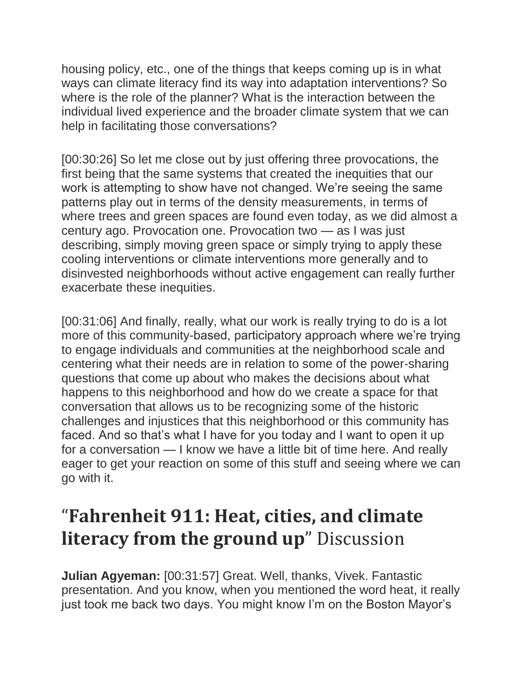housing policy, etc., one of the things that keeps coming up is in what ways can climate literacy find its way into adaptation interventions? So where is the role of the planner? What is the interaction between the individual lived experience and the broader climate system that we can help in facilitating those conversations?

[00:30:26] So let me close out by just offering three provocations, the first being that the same systems that created the inequities that our work is attempting to show have not changed. We're seeing the same patterns play out in terms of the density measurements, in terms of where trees and green spaces are found even today, as we did almost a century ago. Provocation one. Provocation two — as I was just describing, simply moving green space or simply trying to apply these cooling interventions or climate interventions more generally and to disinvested neighborhoods without active engagement can really further exacerbate these inequities.

[00:31:06] And finally, really, what our work is really trying to do is a lot more of this community-based, participatory approach where we're trying to engage individuals and communities at the neighborhood scale and centering what their needs are in relation to some of the power-sharing questions that come up about who makes the decisions about what happens to this neighborhood and how do we create a space for that conversation that allows us to be recognizing some of the historic challenges and injustices that this neighborhood or this community has faced. And so that's what I have for you today and I want to open it up for a conversation — I know we have a little bit of time here. And really eager to get your reaction on some of this stuff and seeing where we can go with it.

## "**Fahrenheit 911: Heat, cities, and climate literacy from the ground up**" Discussion

**Julian Agyeman:** [00:31:57] Great. Well, thanks, Vivek. Fantastic presentation. And you know, when you mentioned the word heat, it really just took me back two days. You might know I'm on the Boston Mayor's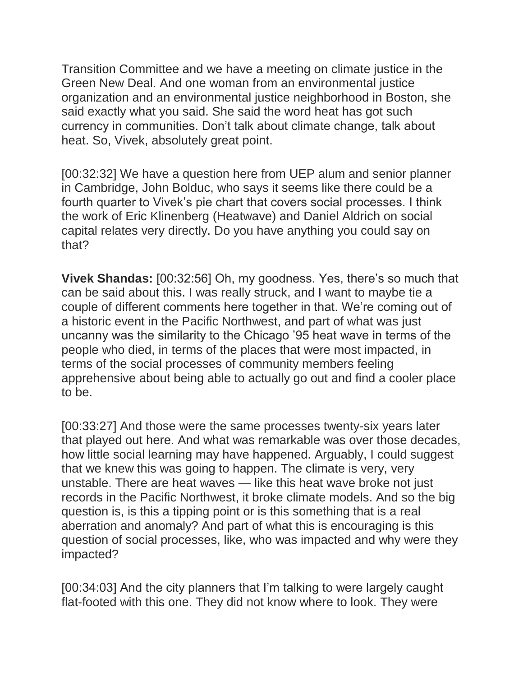Transition Committee and we have a meeting on climate justice in the Green New Deal. And one woman from an environmental justice organization and an environmental justice neighborhood in Boston, she said exactly what you said. She said the word heat has got such currency in communities. Don't talk about climate change, talk about heat. So, Vivek, absolutely great point.

[00:32:32] We have a question here from UEP alum and senior planner in Cambridge, John Bolduc, who says it seems like there could be a fourth quarter to Vivek's pie chart that covers social processes. I think the work of Eric Klinenberg (Heatwave) and Daniel Aldrich on social capital relates very directly. Do you have anything you could say on that?

**Vivek Shandas:** [00:32:56] Oh, my goodness. Yes, there's so much that can be said about this. I was really struck, and I want to maybe tie a couple of different comments here together in that. We're coming out of a historic event in the Pacific Northwest, and part of what was just uncanny was the similarity to the Chicago '95 heat wave in terms of the people who died, in terms of the places that were most impacted, in terms of the social processes of community members feeling apprehensive about being able to actually go out and find a cooler place to be.

[00:33:27] And those were the same processes twenty-six years later that played out here. And what was remarkable was over those decades, how little social learning may have happened. Arguably, I could suggest that we knew this was going to happen. The climate is very, very unstable. There are heat waves — like this heat wave broke not just records in the Pacific Northwest, it broke climate models. And so the big question is, is this a tipping point or is this something that is a real aberration and anomaly? And part of what this is encouraging is this question of social processes, like, who was impacted and why were they impacted?

[00:34:03] And the city planners that I'm talking to were largely caught flat-footed with this one. They did not know where to look. They were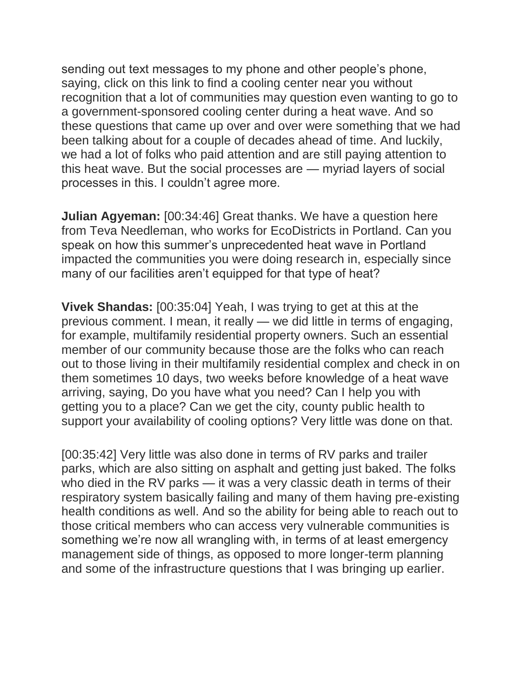sending out text messages to my phone and other people's phone, saying, click on this link to find a cooling center near you without recognition that a lot of communities may question even wanting to go to a government-sponsored cooling center during a heat wave. And so these questions that came up over and over were something that we had been talking about for a couple of decades ahead of time. And luckily, we had a lot of folks who paid attention and are still paying attention to this heat wave. But the social processes are — myriad layers of social processes in this. I couldn't agree more.

**Julian Agyeman:** [00:34:46] Great thanks. We have a question here from Teva Needleman, who works for EcoDistricts in Portland. Can you speak on how this summer's unprecedented heat wave in Portland impacted the communities you were doing research in, especially since many of our facilities aren't equipped for that type of heat?

**Vivek Shandas:** [00:35:04] Yeah, I was trying to get at this at the previous comment. I mean, it really — we did little in terms of engaging, for example, multifamily residential property owners. Such an essential member of our community because those are the folks who can reach out to those living in their multifamily residential complex and check in on them sometimes 10 days, two weeks before knowledge of a heat wave arriving, saying, Do you have what you need? Can I help you with getting you to a place? Can we get the city, county public health to support your availability of cooling options? Very little was done on that.

[00:35:42] Very little was also done in terms of RV parks and trailer parks, which are also sitting on asphalt and getting just baked. The folks who died in the RV parks — it was a very classic death in terms of their respiratory system basically failing and many of them having pre-existing health conditions as well. And so the ability for being able to reach out to those critical members who can access very vulnerable communities is something we're now all wrangling with, in terms of at least emergency management side of things, as opposed to more longer-term planning and some of the infrastructure questions that I was bringing up earlier.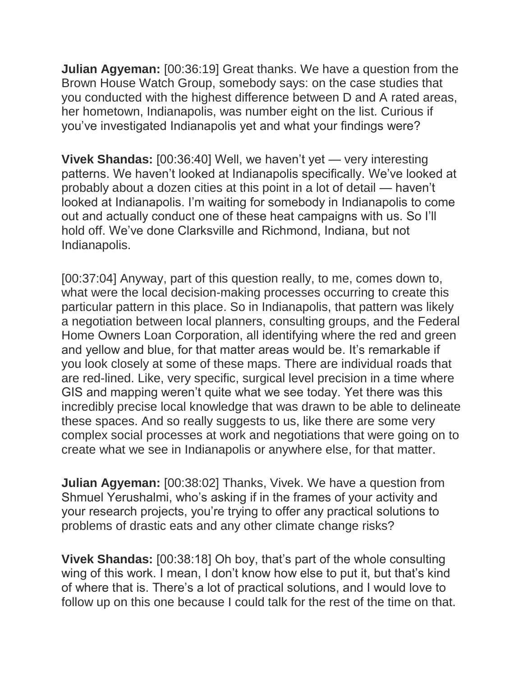**Julian Agyeman:** [00:36:19] Great thanks. We have a question from the Brown House Watch Group, somebody says: on the case studies that you conducted with the highest difference between D and A rated areas, her hometown, Indianapolis, was number eight on the list. Curious if you've investigated Indianapolis yet and what your findings were?

**Vivek Shandas:** [00:36:40] Well, we haven't yet — very interesting patterns. We haven't looked at Indianapolis specifically. We've looked at probably about a dozen cities at this point in a lot of detail — haven't looked at Indianapolis. I'm waiting for somebody in Indianapolis to come out and actually conduct one of these heat campaigns with us. So I'll hold off. We've done Clarksville and Richmond, Indiana, but not Indianapolis.

[00:37:04] Anyway, part of this question really, to me, comes down to, what were the local decision-making processes occurring to create this particular pattern in this place. So in Indianapolis, that pattern was likely a negotiation between local planners, consulting groups, and the Federal Home Owners Loan Corporation, all identifying where the red and green and yellow and blue, for that matter areas would be. It's remarkable if you look closely at some of these maps. There are individual roads that are red-lined. Like, very specific, surgical level precision in a time where GIS and mapping weren't quite what we see today. Yet there was this incredibly precise local knowledge that was drawn to be able to delineate these spaces. And so really suggests to us, like there are some very complex social processes at work and negotiations that were going on to create what we see in Indianapolis or anywhere else, for that matter.

**Julian Agyeman:** [00:38:02] Thanks, Vivek. We have a question from Shmuel Yerushalmi, who's asking if in the frames of your activity and your research projects, you're trying to offer any practical solutions to problems of drastic eats and any other climate change risks?

**Vivek Shandas:** [00:38:18] Oh boy, that's part of the whole consulting wing of this work. I mean, I don't know how else to put it, but that's kind of where that is. There's a lot of practical solutions, and I would love to follow up on this one because I could talk for the rest of the time on that.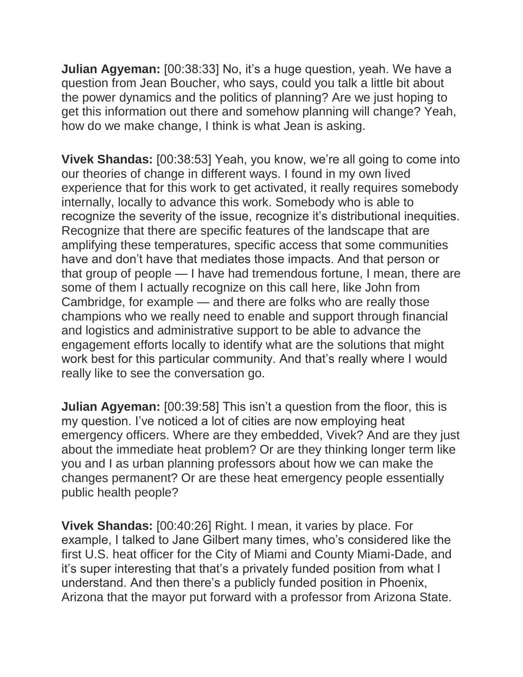**Julian Agyeman:** [00:38:33] No, it's a huge question, yeah. We have a question from Jean Boucher, who says, could you talk a little bit about the power dynamics and the politics of planning? Are we just hoping to get this information out there and somehow planning will change? Yeah, how do we make change, I think is what Jean is asking.

**Vivek Shandas:** [00:38:53] Yeah, you know, we're all going to come into our theories of change in different ways. I found in my own lived experience that for this work to get activated, it really requires somebody internally, locally to advance this work. Somebody who is able to recognize the severity of the issue, recognize it's distributional inequities. Recognize that there are specific features of the landscape that are amplifying these temperatures, specific access that some communities have and don't have that mediates those impacts. And that person or that group of people — I have had tremendous fortune, I mean, there are some of them I actually recognize on this call here, like John from Cambridge, for example — and there are folks who are really those champions who we really need to enable and support through financial and logistics and administrative support to be able to advance the engagement efforts locally to identify what are the solutions that might work best for this particular community. And that's really where I would really like to see the conversation go.

**Julian Agyeman:** [00:39:58] This isn't a question from the floor, this is my question. I've noticed a lot of cities are now employing heat emergency officers. Where are they embedded, Vivek? And are they just about the immediate heat problem? Or are they thinking longer term like you and I as urban planning professors about how we can make the changes permanent? Or are these heat emergency people essentially public health people?

**Vivek Shandas:** [00:40:26] Right. I mean, it varies by place. For example, I talked to Jane Gilbert many times, who's considered like the first U.S. heat officer for the City of Miami and County Miami-Dade, and it's super interesting that that's a privately funded position from what I understand. And then there's a publicly funded position in Phoenix, Arizona that the mayor put forward with a professor from Arizona State.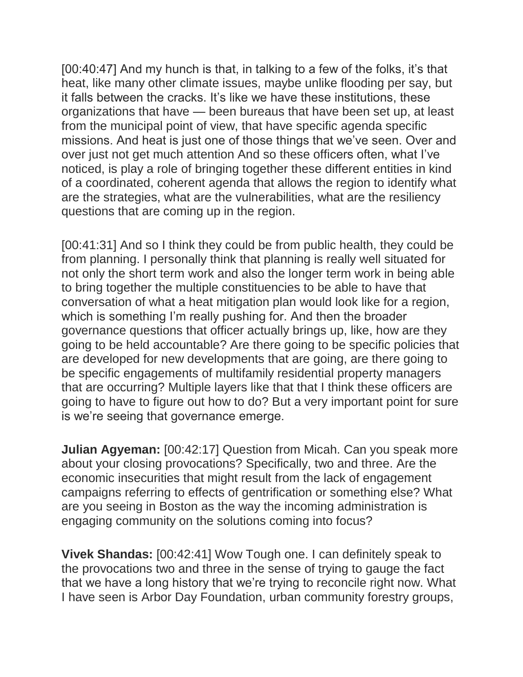[00:40:47] And my hunch is that, in talking to a few of the folks, it's that heat, like many other climate issues, maybe unlike flooding per say, but it falls between the cracks. It's like we have these institutions, these organizations that have — been bureaus that have been set up, at least from the municipal point of view, that have specific agenda specific missions. And heat is just one of those things that we've seen. Over and over just not get much attention And so these officers often, what I've noticed, is play a role of bringing together these different entities in kind of a coordinated, coherent agenda that allows the region to identify what are the strategies, what are the vulnerabilities, what are the resiliency questions that are coming up in the region.

[00:41:31] And so I think they could be from public health, they could be from planning. I personally think that planning is really well situated for not only the short term work and also the longer term work in being able to bring together the multiple constituencies to be able to have that conversation of what a heat mitigation plan would look like for a region, which is something I'm really pushing for. And then the broader governance questions that officer actually brings up, like, how are they going to be held accountable? Are there going to be specific policies that are developed for new developments that are going, are there going to be specific engagements of multifamily residential property managers that are occurring? Multiple layers like that that I think these officers are going to have to figure out how to do? But a very important point for sure is we're seeing that governance emerge.

**Julian Agyeman:** [00:42:17] Question from Micah. Can you speak more about your closing provocations? Specifically, two and three. Are the economic insecurities that might result from the lack of engagement campaigns referring to effects of gentrification or something else? What are you seeing in Boston as the way the incoming administration is engaging community on the solutions coming into focus?

**Vivek Shandas:** [00:42:41] Wow Tough one. I can definitely speak to the provocations two and three in the sense of trying to gauge the fact that we have a long history that we're trying to reconcile right now. What I have seen is Arbor Day Foundation, urban community forestry groups,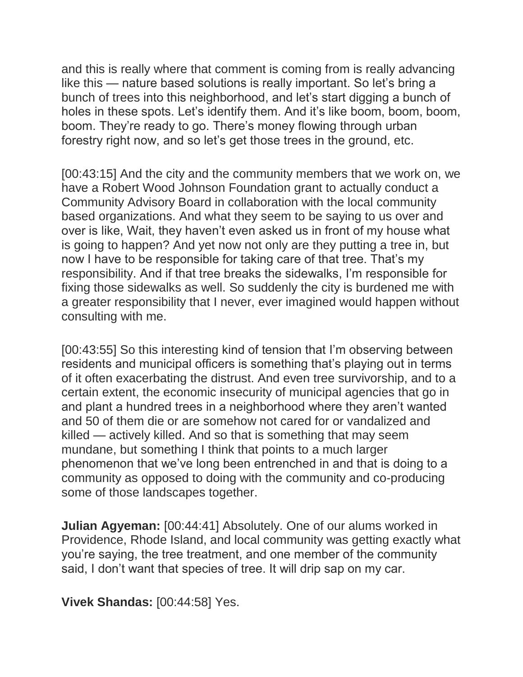and this is really where that comment is coming from is really advancing like this — nature based solutions is really important. So let's bring a bunch of trees into this neighborhood, and let's start digging a bunch of holes in these spots. Let's identify them. And it's like boom, boom, boom, boom. They're ready to go. There's money flowing through urban forestry right now, and so let's get those trees in the ground, etc.

[00:43:15] And the city and the community members that we work on, we have a Robert Wood Johnson Foundation grant to actually conduct a Community Advisory Board in collaboration with the local community based organizations. And what they seem to be saying to us over and over is like, Wait, they haven't even asked us in front of my house what is going to happen? And yet now not only are they putting a tree in, but now I have to be responsible for taking care of that tree. That's my responsibility. And if that tree breaks the sidewalks, I'm responsible for fixing those sidewalks as well. So suddenly the city is burdened me with a greater responsibility that I never, ever imagined would happen without consulting with me.

[00:43:55] So this interesting kind of tension that I'm observing between residents and municipal officers is something that's playing out in terms of it often exacerbating the distrust. And even tree survivorship, and to a certain extent, the economic insecurity of municipal agencies that go in and plant a hundred trees in a neighborhood where they aren't wanted and 50 of them die or are somehow not cared for or vandalized and killed — actively killed. And so that is something that may seem mundane, but something I think that points to a much larger phenomenon that we've long been entrenched in and that is doing to a community as opposed to doing with the community and co-producing some of those landscapes together.

**Julian Agyeman:** [00:44:41] Absolutely. One of our alums worked in Providence, Rhode Island, and local community was getting exactly what you're saying, the tree treatment, and one member of the community said, I don't want that species of tree. It will drip sap on my car.

**Vivek Shandas:** [00:44:58] Yes.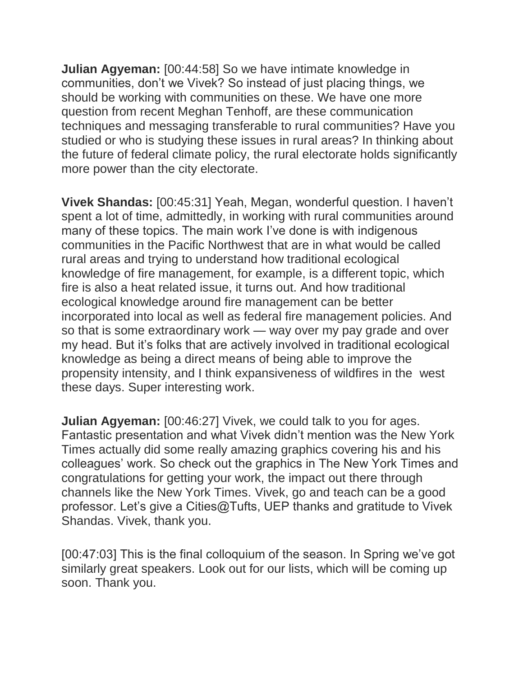**Julian Agyeman:** [00:44:58] So we have intimate knowledge in communities, don't we Vivek? So instead of just placing things, we should be working with communities on these. We have one more question from recent Meghan Tenhoff, are these communication techniques and messaging transferable to rural communities? Have you studied or who is studying these issues in rural areas? In thinking about the future of federal climate policy, the rural electorate holds significantly more power than the city electorate.

**Vivek Shandas:** [00:45:31] Yeah, Megan, wonderful question. I haven't spent a lot of time, admittedly, in working with rural communities around many of these topics. The main work I've done is with indigenous communities in the Pacific Northwest that are in what would be called rural areas and trying to understand how traditional ecological knowledge of fire management, for example, is a different topic, which fire is also a heat related issue, it turns out. And how traditional ecological knowledge around fire management can be better incorporated into local as well as federal fire management policies. And so that is some extraordinary work — way over my pay grade and over my head. But it's folks that are actively involved in traditional ecological knowledge as being a direct means of being able to improve the propensity intensity, and I think expansiveness of wildfires in the west these days. Super interesting work.

**Julian Agyeman:** [00:46:27] Vivek, we could talk to you for ages. Fantastic presentation and what Vivek didn't mention was the New York Times actually did some really amazing graphics covering his and his colleagues' work. So check out the graphics in The New York Times and congratulations for getting your work, the impact out there through channels like the New York Times. Vivek, go and teach can be a good professor. Let's give a Cities@Tufts, UEP thanks and gratitude to Vivek Shandas. Vivek, thank you.

[00:47:03] This is the final colloquium of the season. In Spring we've got similarly great speakers. Look out for our lists, which will be coming up soon. Thank you.